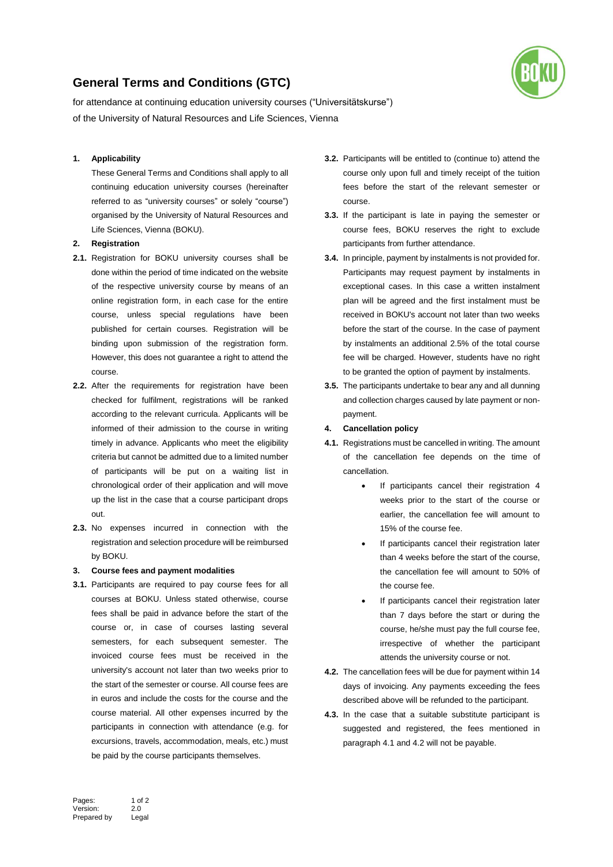# **General Terms and Conditions (GTC)**



for attendance at continuing education university courses ("Universitätskurse") of the University of Natural Resources and Life Sciences, Vienna

## **1. Applicability**

These General Terms and Conditions shall apply to all continuing education university courses (hereinafter referred to as "university courses" or solely "course") organised by the University of Natural Resources and Life Sciences, Vienna (BOKU).

## **2. Registration**

- **2.1.** Registration for BOKU university courses shall be done within the period of time indicated on the website of the respective university course by means of an online registration form, in each case for the entire course, unless special regulations have been published for certain courses. Registration will be binding upon submission of the registration form. However, this does not guarantee a right to attend the course.
- **2.2.** After the requirements for registration have been checked for fulfilment, registrations will be ranked according to the relevant curricula. Applicants will be informed of their admission to the course in writing timely in advance. Applicants who meet the eligibility criteria but cannot be admitted due to a limited number of participants will be put on a waiting list in chronological order of their application and will move up the list in the case that a course participant drops out.
- **2.3.** No expenses incurred in connection with the registration and selection procedure will be reimbursed by BOKU.

#### **3. Course fees and payment modalities**

**3.1.** Participants are required to pay course fees for all courses at BOKU. Unless stated otherwise, course fees shall be paid in advance before the start of the course or, in case of courses lasting several semesters, for each subsequent semester. The invoiced course fees must be received in the university's account not later than two weeks prior to the start of the semester or course. All course fees are in euros and include the costs for the course and the course material. All other expenses incurred by the participants in connection with attendance (e.g. for excursions, travels, accommodation, meals, etc.) must be paid by the course participants themselves.

- **3.2.** Participants will be entitled to (continue to) attend the course only upon full and timely receipt of the tuition fees before the start of the relevant semester or course.
- **3.3.** If the participant is late in paying the semester or course fees, BOKU reserves the right to exclude participants from further attendance.
- **3.4.** In principle, payment by instalments is not provided for. Participants may request payment by instalments in exceptional cases. In this case a written instalment plan will be agreed and the first instalment must be received in BOKU's account not later than two weeks before the start of the course. In the case of payment by instalments an additional 2.5% of the total course fee will be charged. However, students have no right to be granted the option of payment by instalments.
- **3.5.** The participants undertake to bear any and all dunning and collection charges caused by late payment or nonpayment.

### **4. Cancellation policy**

- **4.1.** Registrations must be cancelled in writing. The amount of the cancellation fee depends on the time of cancellation.
	- If participants cancel their registration 4 weeks prior to the start of the course or earlier, the cancellation fee will amount to 15% of the course fee.
	- If participants cancel their registration later than 4 weeks before the start of the course, the cancellation fee will amount to 50% of the course fee.
	- If participants cancel their registration later than 7 days before the start or during the course, he/she must pay the full course fee, irrespective of whether the participant attends the university course or not.
- **4.2.** The cancellation fees will be due for payment within 14 days of invoicing. Any payments exceeding the fees described above will be refunded to the participant.
- **4.3.** In the case that a suitable substitute participant is suggested and registered, the fees mentioned in paragraph 4.1 and 4.2 will not be payable.